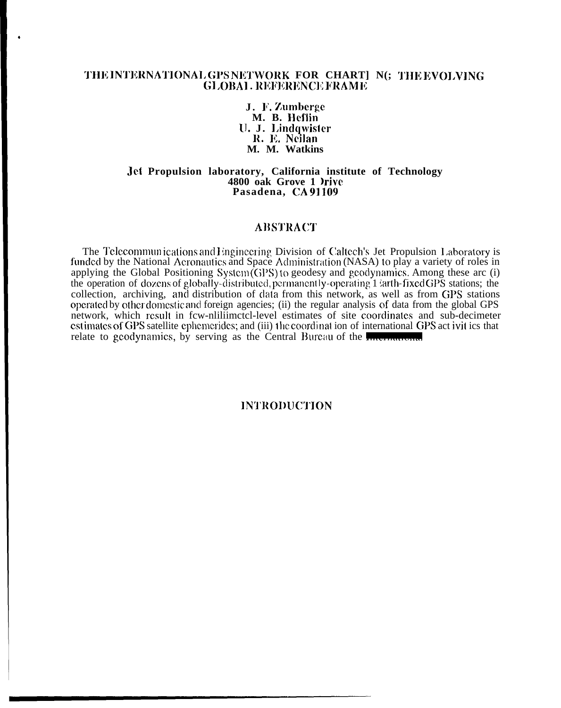# THE INTERNATIONAL GPS NETWORK FOR CHART] N(; THE EVOLVING **GLOBAL REFERENCE FRAME**

J. F. Zumberge M. B. Heflin U. J. Lindqwister R. E. Neilan M. M. Watkins

Jet Propulsion laboratory, California institute of Technology 4800 oak Grove 1 Irive Pasadena, CA91109

### **ABSTRACT**

The Telecommunications and Engineering Division of Caltech's Jet Propulsion Laboratory is funded by the National Aeronautics and Space Administration (NASA) to play a variety of roles in applying the Global Positioning System  $(GPS)$  to geodesy and geodynamics. Among these arc (i) the operation of dozens of globally-distributed, permanently-operating 1 larth-fixed GPS stations; the collection, archiving, and distribution of data from this network, as well as from GPS stations operated by other domestic and foreign agencies; (ii) the regular analysis of data from the global GPS network, which result in few-nilliimetel-level estimates of site coordinates and sub-decimeter estimates of GPS satellite ephemerides; and (iii) the coordination of international GPS act ivit ics that relate to geodynamics, by serving as the Central Bureau of the measurement

# **INTRODUCTION**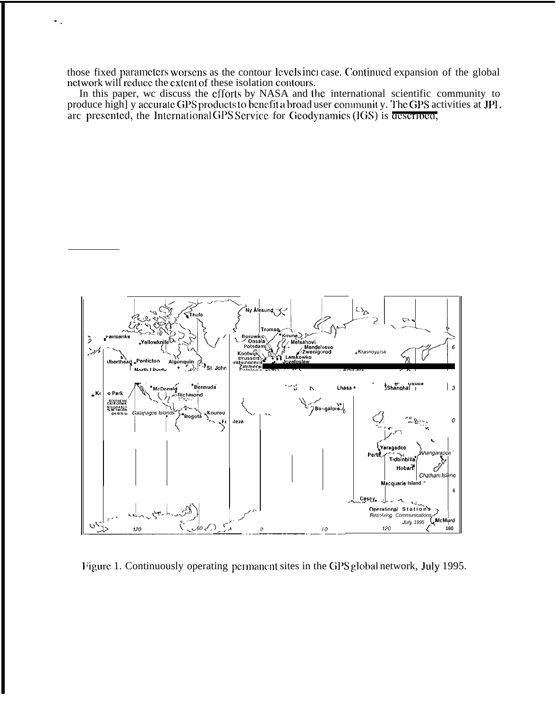those fixed parameters worsens as the contour levels increase. Continued expansion of the global network will reduce the extent of these isolation contours.

In this paper, we discuss the efforts by NASA and the international scientific community to produce high] y accurate GPS products to benefit a broad user communit y. The GPS activities at JPL are presented, the International GPS Service for Geodynamics (IGS) is described,



Figure 1. Continuously operating permanent sites in the GPS global network, July 1995.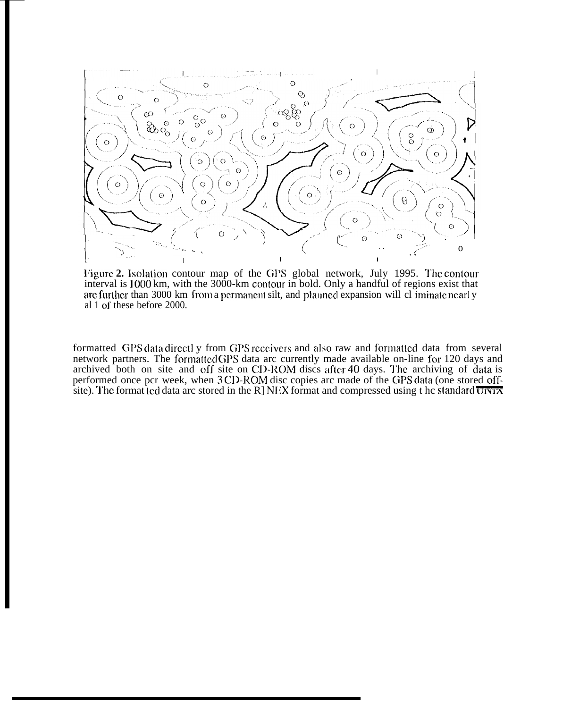

**l'igure 2.** Isolation contour map of the GPS global network, July 1995. The contour interval is 1000 km, with the 3000-km contour in bold. Only a handful of regions exist that arc further than 3000 km from a permanent silt, and plauned expansion will cl iminate nearly al 1 of these before 2000.

formatted GPS data directl y from GPS receivers and also raw and formatted data from several network partners. The formatted GPS data arc currently made available on-line for 120 days and archived both on site and off site on CD-ROM discs after 40 days. The archiving of data is performed once pcr week, when 3 CD-ROM disc copies arc made of the GPS data (one stored offsite). The format ted data arc stored in the R] NEX format and compressed using t he standard  $\overline{U}$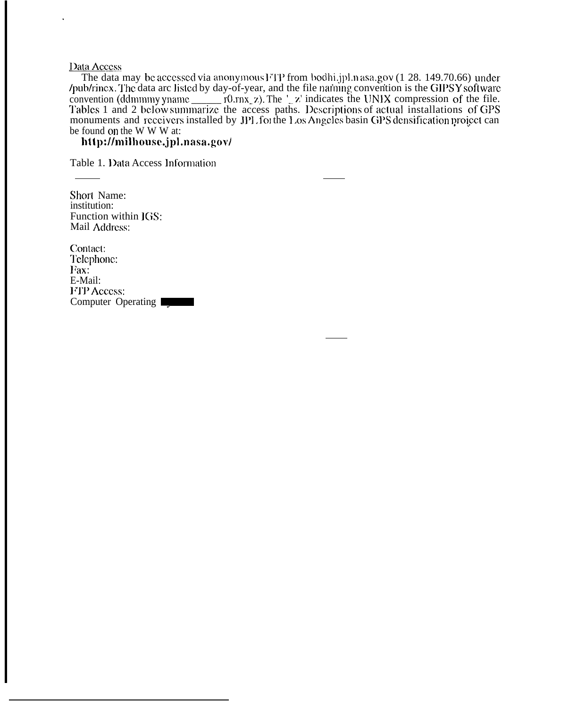# Data Access

The data may be accessed via anonymous FTP from bodhi.jpl.nasa.gov (1 28. 149.70.66) under /pub/rinex. The data arc listed by day-of-year, and the file naming convention is the GIPSY software be found on the W W W at:

# http://milhouse.jpl.nasa.gov/

Table 1. Data Access Information

Short Name: institution: Function within JGS: Mail Address:

Contact: Telephone: Fax: E-Mail: **FTP Access:** Computer Operating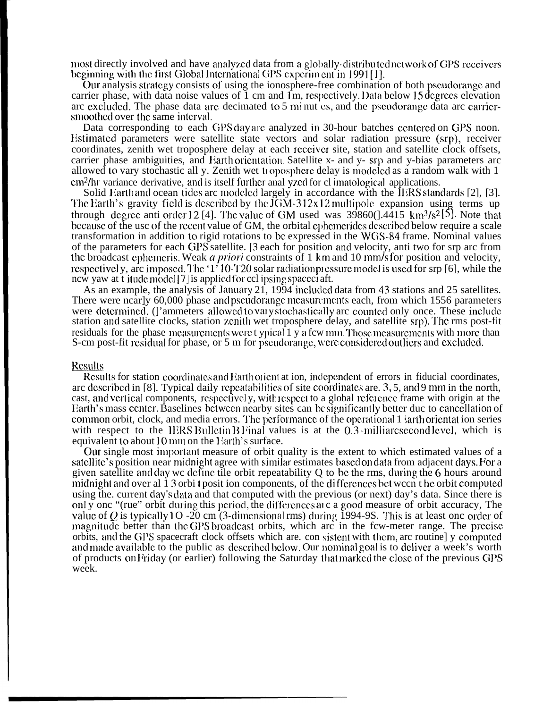most directly involved and have analyzed data from a globally-distributed network of GPS receivers beginning with the first Global International GPS experiment in 1991[1].

Our analysis strategy consists of using the ionosphere-free combination of both pseudorange and carrier phase, with data noise values of  $\overline{1}$  cm and  $\overline{1}$ m, respectively. Data below 15 degrees elevation arc excluded. The phase data are decimated to 5 minut es, and the pseudorange data arc carriersmoothed over the same interval.

Data corresponding to each GPS day are analyzed in 30-hour batches centered on GPS noon. Estimated parameters were satellite state vectors and solar radiation pressure (srp), receiver coordinates, zenith wet troposphere delay at each receiver site, station and satellite clock offsets, carrier phase ambiguities, and Earth orientation. Satellite x- and y- srp and y-bias parameters are allowed to vary stochastic all y. Zenith wet troposphere delay is modeled as a random walk with 1 cm<sup>2</sup>/hr variance derivative, and is itself further anal yzed for cl imatological applications.

Solid Earth and ocean tides are modeled largely in accordance with the IERS standards [2], [3]. The Earth's gravity field is described by the  $JGM-312x12$  multipole expansion using terms up through degree anti order 12 [4]. The value of GM used was  $39860(1.4415 \text{ km}^3/\text{s}^2)$ . Note that because of the usc of the recent value of GM, the orbital ephemerides described below require a scale transformation in addition to rigid rotations to be expressed in the WGS-84 frame. Nominal values of the parameters for each GPS satellite. [3 each for position and velocity, anti two for srp arc from the broadcast ephemeris. Weak *a priori* constraints of 1 km and 10 mm/s for position and velocity, respectively, arc imposed. The '1'10-T20 solar radiation pressure model is used for srp [6], while the new yaw at t itude model [7] is applied for cel ipsing spaceci aft.

As an example, the analysis of January 21, 1994 included data from 43 stations and 25 satellites. There were nearly 60,000 phase and pseudorange measurements each, from which 1556 parameters were determined. (I'ammeters allowed to vary stochastically arc counted only once. These include station and satellite clocks, station zenith wet troposphere delay, and satellite srp. The rms post-fit residuals for the phase measurements were typical 1 y a few mm. Those measurements with more than S-cm post-fit residual for phase, or 5 m for pseudorange, were considered outliers and excluded.

### **Results**

Results for station coordinates and Earthorient at ion, independent of errors in fiducial coordinates, arc described in [8]. Typical daily repeatabilities of site coordinates are. 3, 5, and 9 mm in the north, cast, and vertical components, respectively, with respect to a global reference frame with origin at the Earth's mass center. Baselines between nearby sites can be significantly better due to cancellation of common orbit, clock, and media errors. The performance of the operational 1  $\lambda$  arth orientation series with respect to the IERS Bulletin B Final values is at the 0.3-milliarcsecond level, which is equivalent to about 10 mm on the Earth's surface.

Our single most important measure of orbit quality is the extent to which estimated values of a satellite's position near midnight agree with similar estimates based on data from adjacent days. For a given satellite and day we define tile orbit repeatability  $Q$  to be the rms, during the 6 hours around midnight and over al 13 orbi t posit ion components, of the differences bet ween the orbit computed using the, current day's data and that computed with the previous (or next) day's data. Since there is only one "(rue" orbit during this period, the differences at c a good measure of orbit accuracy. The value of Q is typically  $10 - 20$  cm (3-dimensional rms) during 1994-9S. This is at least one order of magnitude better than the GPS broadcast orbits, which are in the few-meter range. The precise orbits, and the GPS spacecraft clock offsets which are, consistent with them, are routinely computed and made available to the public as described below. Our nominal goal is to deliver a week's worth of products on Friday (or earlier) following the Saturday that marked the close of the previous GPS week.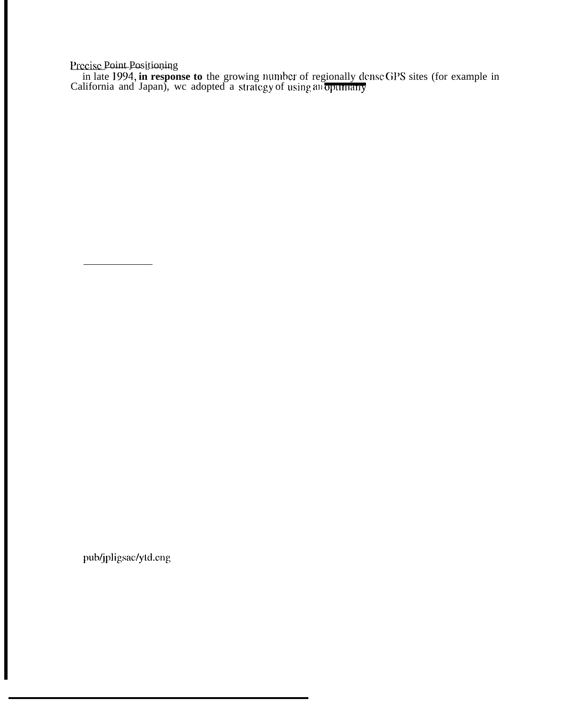Precise Point Positioning<br>in late 1994, in response to the growing number of regionally dense GPS sites (for example in<br>California and Japan), we adopted a strategy of using anopumary

pub/jpligsac/ytd.eng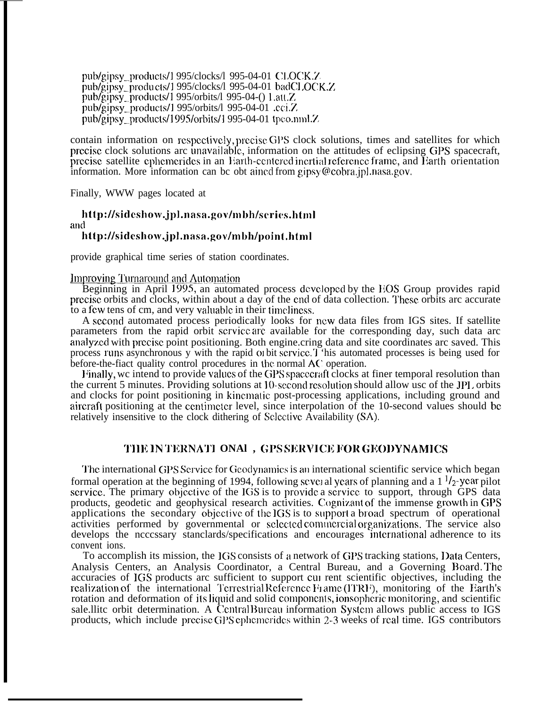pub/gipsy\_products/1 995/clocks/l 995-04-01  $CLOCK.Z$ pub/gipsy\_products/1 995/clocks/l 995-04-01 badCl .OCK.Z  $\mu_{\text{phys}}$  products/1 995/orbits/l 995-04-() 1.att.Z pub/gipsy\_products/1 995/orbits/l 995-04-01 .cci.Z. pub/gipsy\_products/1995/orbits/1995-04-01 tpco.nml.Z

contain information on respectively, precise GPS clock solutions, times and satellites for which precise clock solutions arc unavailable, information on the attitudes of eclipsing GPS spacecraft, precise satellite ephemerides in an Earth-centered inertial reference frame, and Earth orientation information. More information can bc obt aincd from gipsy (@cobra.jp] .nasa,gov.

Finally, WWW pages located at

# http://sideshow.jpl.nasa.gov/mbh/scrics.html and http://sideshow.jpl.nasa.gov/mbh/point.html

provide graphical time series of station coordinates.

Improving Turnaround and Automation<br>Beginning in April 1995, an automated process developed by the EOS Group provides rapid prccisc orbits and clocks, within about a day of the cnd of data collection. These, orbits arc accurate to a few tens of cm, and very valuable in their timeliness.

A second automated process periodically looks for new data files from IGS sites. If satellite parameters from the rapid orbit scrvicc arc available for the corresponding day, such data arc analyzed with precise point positioning. Both engine.cring data and site coordinates arc saved. This process runs asynchronous y with the rapid of bit scrvice. T 'his automated processes is being used for before-the-fiact quality control procedures in the normal AC operation.

Finally, we intend to provide values of the GPS spacecraft clocks at finer temporal resolution than the current 5 minutes. Providing solutions at 10-second resolution should allow usc of the JPI. orbits and clocks for point positioning in kinematic post-processing applications, including ground and aircraft positioning at the centimeter level, since interpolation of the 10-second values should be relatively insensitive to the clock dithering of Sclectivc Availability (SA).

# **'1'IIN IN T1?RNA'J'I ONAl , (;1% SJCR\71Cl; IX)]< GIWI)YNAMICS**

The international GPS Service for Geodynamics is an international scientific service which began formal operation at the beginning of 1994, following several years of planning and a  $1^{1/2}$ -year pilot service. The primary objective of the IGS is to provide a service to support, through GPS data products, geodetic and geophysical research activities. Cognizant of the immense growth in GPS applications the secondary objective of the  $\overline{S}$  is to support a broad spectrum of operational activities performed by governmental or selected commercial organizations. The service also develops the ncccssary stanclards/specifications and encourages international adherence to its convent ions.

To accomplish its mission, the IGS consists of a network of GPS tracking stations, Data Centers, Analysis Centers, an Analysis Coordinator, a Central Bureau, and a Governing Board. The accuracies of IGS products arc sufficient to support CUI rent scientific objectives, including the realization of the international Terrestrial Reference Fiame (ITRF), monitoring of the Earth's rotation and deformation of its liquid and solid components, ionsopheric monitoring, and scientific sale. Ilite orbit determination. A Central Bureau information System allows public access to IGS products, which include precise GPS cphemerides within 2-3 weeks of real time. IGS contributors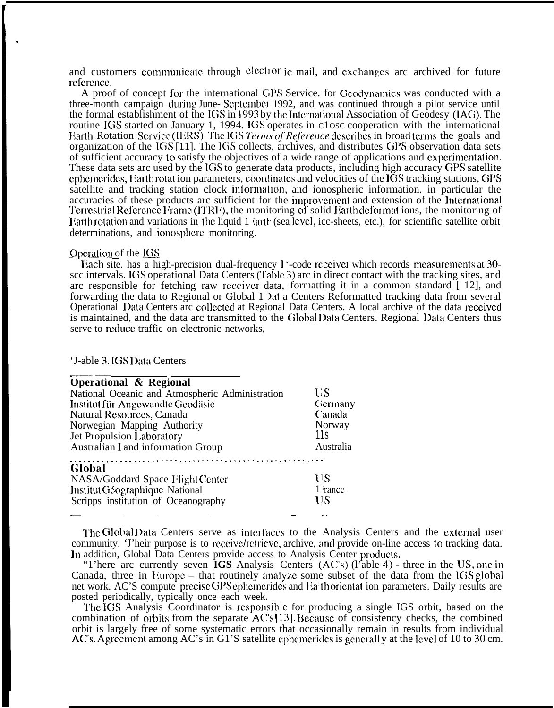and customers communicate through electron<sub>ic</sub> mail, and exchanges arc archived for future reference.

A proof of concept for the international GPS Service. for Geoclynamics was conducted with a three-month campaign during June- Scptcmbcr 1992, and was continued through a pilot service until the formal establishment of the IGS in 1993 by the International Association of Geodesy (IAG). The routine IGS started on January 1, 1994. IGS operates in close cooperation with the international Earth Rotation Service (IERS). The IGS Terms of Reference describes in broad terms the goals and organization of the IGS [11]. The IGS collects, archives, and distributes GPS observation data sets of sufficient accuracy to satisfy the objectives of a wide range of applications and cxpcrimcntation. These data sets arc used by the IGS to generate data products, including high accuracy GPS satellite cphemerides, I arth rotat ion parameters, coordinates and velocities of the IGS tracking stations, GPS satellite and tracking station clock information, and ionospheric information. in particular the accuracies of these products arc sufficient for the improvement and extension of the International Terrestrial Reference I rame (ITRF), the monitoring of solid Earth deformat ions, the monitoring of Earth rotation and variations in the liquid 1  $\lambda$  arth (sea level, icc-sheets, etc.), for scientific satellite orbit determinations, and ionosphere monitoring.

### Operation of the  $\overline{\text{IGS}}$

.

liach site. has a high-precision dual-frequency 1 '-code rcccivcr which records mcasurcmcnts at 30 scc intervals. IGS operational Data Centers (Table 3) arc in direct contact with the tracking sites, and arc responsible for fetching raw receiver data, formatting it in a common standard  $\lceil 12 \rceil$ , and forwarding the data to Regional or Global 1  $\lambda$ at a Centers Reformatted tracking data from several Operational IIata Centers arc collcctcd at Regional Data Centers. A local archive of the data rcccivcd is maintained, and the data arc transmitted to the Global Data Centers. Regional Data Centers thus serve to rcducc traffic on electronic networks,

'J-able 3.1GS Data Centers

| Operational & Regional                          |           |
|-------------------------------------------------|-----------|
| National Oceanic and Atmospheric Administration | US        |
| Institut für Angewandte Geodäsie                | Germany   |
| Natural Resources, Canada                       | Canada    |
| Norwegian Mapping Authority                     | Norway    |
| Jet Propulsion Laboratory                       | 11s       |
| Australian I and information Group              | Australia |
| Global                                          |           |
| NASA/Goddard Space Flight Center                | US        |
| Institut Géographique National                  | 1 rance   |
| Scripps institution of Oceanography             | US        |
|                                                 |           |

The Global Data Centers serve as interfaces to the Analysis Centers and the external user community. 'J'heir purpose is to receive/retricve, archive, and provide on-line access to tracking data. In addition, Global Data Centers provide access to Analysis Center products.

"1'here arc currently seven **IGS** Analysis Centers (AC'S) (l'able 4) - three in the lJS, onc in Canada, three in 1 iuropc – that routinely analyze some subset of the data from the IGS global net work. AC'S compute precise GPS ephemerides and Earth orientat ion parameters. Daily results are posted periodically, typically once each week.

The IGS Analysis Coordinator is responsible for producing a single IGS orbit, based on the combination of orbits from the separate  $ACs[13]$ . Because of consistency checks, the combined orbit is largely free of some systematic errors that occasionally remain in results from individual AC's. Agreement among AC's in G1'S satellite ephemerides is generally at the level of 10 to 30 cm.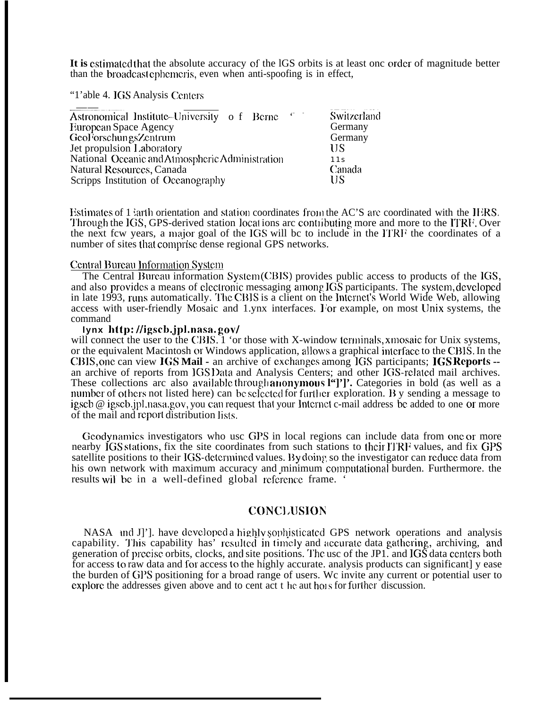It is estimated that the absolute accuracy of the IGS orbits is at least one order of magnitude better than the broadcast ephemeris, even when anti-spoofing is in effect,

"1'able 4. IGS Analysis Centers"

| $-67$<br>Astronomical Institute-University of Berne | Switzerland |
|-----------------------------------------------------|-------------|
| European Space Agency                               | Germany     |
| GeoForschungsZentrum                                | Germany     |
| Jet propulsion Laboratory                           | <b>IIS</b>  |
| National Oceanic and Atmospheric Administration     | 11s         |
| Natural Resources, Canada                           | Canada      |
| Scripps Institution of Oceanography                 | ĦS          |

Estimates of 1 larth orientation and station coordinates from the AC'S are coordinated with the IERS. Through the IGS, GPS-derived station locations are contributing more and more to the ITRF. Over the next fcw years, a major goal of the IGS will be to include in the ITRF the coordinates of a number of sites that comprise dense regional GPS networks.

### Central Bureau Information System

The Central Bureau information System(CBIS) provides public access to products of the IGS, and also provides a means of electronic messaging among IGS participants. The system, developed in late 1993, runs automatically. The CBIS is a client on the Internet's World Wide Web, allowing access with user-friendly Mosaic and 1.ynx interfaces. For example, on most Unix systems, the command

# lynx http://igscb.jpl.nasa.gov/

will connect the user to the CBIS. 1 'or those with X-window terminals, xmosaic for Unix systems, or the equivalent Macintosh or Windows application, allows a graphical interface to the CBIS. In the CBIS, one can view IGS Mail - an archive of exchanges among IGS participants; IGS Reports -an archive of reports from IGS Data and Analysis Centers; and other IGS-related mail archives. These collections arc also available through anonymous l'']'. Categories in bold (as well as a number of others not listed here) can be selected for further exploration. By sending a message to igseb @ igseb.jpl.nasa.gov, you can request that your Internet c-mail address be added to one or more of the mail and report distribution lists.

Geodynamics investigators who usc GPS in local regions can include data from one or more nearby IGS stations, fix the site coordinates from such stations to their ITRF values, and fix GPS satellite positions to their IGS-determined values. By doing so the investigator can reduce data from his own network with maximum accuracy and minimum computational burden. Furthermore, the results will be in a well-defined global reference frame.

# **CONCLUSION**

NASA and J<sup>'</sup>], have developed a highly sophisticated GPS network operations and analysis capability. This capability has' resulted in timely and accurate data gathering, archiving, and generation of precise orbits, clocks, and site positions. The usc of the JP1. and IGS data centers both for access to raw data and for access to the highly accurate, analysis products can significant y ease the burden of GPS positioning for a broad range of users. We invite any current or potential user to explore the addresses given above and to cent act t he authors for further discussion.